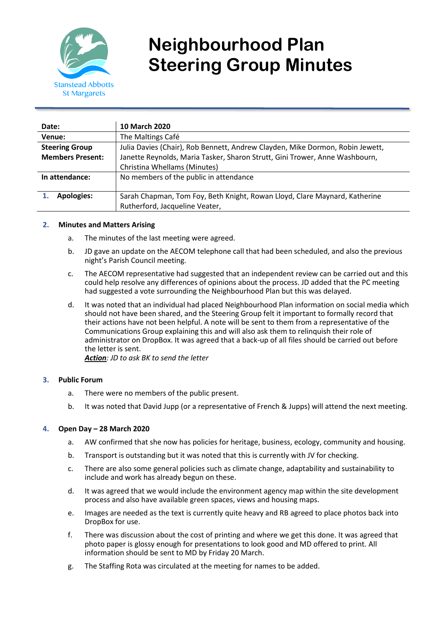

# **Neighbourhood Plan Steering Group Minutes**

| Date:                   | 10 March 2020                                                                 |
|-------------------------|-------------------------------------------------------------------------------|
| Venue:                  | The Maltings Café                                                             |
| <b>Steering Group</b>   | Julia Davies (Chair), Rob Bennett, Andrew Clayden, Mike Dormon, Robin Jewett, |
| <b>Members Present:</b> | Janette Reynolds, Maria Tasker, Sharon Strutt, Gini Trower, Anne Washbourn,   |
|                         | Christina Whellams (Minutes)                                                  |
| In attendance:          | No members of the public in attendance                                        |
|                         |                                                                               |
| <b>Apologies:</b>       | Sarah Chapman, Tom Foy, Beth Knight, Rowan Lloyd, Clare Maynard, Katherine    |
|                         | Rutherford, Jacqueline Veater,                                                |

## **2. Minutes and Matters Arising**

- a. The minutes of the last meeting were agreed.
- b. JD gave an update on the AECOM telephone call that had been scheduled, and also the previous night's Parish Council meeting.
- c. The AECOM representative had suggested that an independent review can be carried out and this could help resolve any differences of opinions about the process. JD added that the PC meeting had suggested a vote surrounding the Neighbourhood Plan but this was delayed.
- d. It was noted that an individual had placed Neighbourhood Plan information on social media which should not have been shared, and the Steering Group felt it important to formally record that their actions have not been helpful. A note will be sent to them from a representative of the Communications Group explaining this and will also ask them to relinquish their role of administrator on DropBox. It was agreed that a back-up of all files should be carried out before the letter is sent. *Action: JD to ask BK to send the letter*

## **3. Public Forum**

- a. There were no members of the public present.
- b. It was noted that David Jupp (or a representative of French & Jupps) will attend the next meeting.

## **4. Open Day – 28 March 2020**

- a. AW confirmed that she now has policies for heritage, business, ecology, community and housing.
- b. Transport is outstanding but it was noted that this is currently with JV for checking.
- c. There are also some general policies such as climate change, adaptability and sustainability to include and work has already begun on these.
- d. It was agreed that we would include the environment agency map within the site development process and also have available green spaces, views and housing maps.
- e. Images are needed as the text is currently quite heavy and RB agreed to place photos back into DropBox for use.
- f. There was discussion about the cost of printing and where we get this done. It was agreed that photo paper is glossy enough for presentations to look good and MD offered to print. All information should be sent to MD by Friday 20 March.
- g. The Staffing Rota was circulated at the meeting for names to be added.